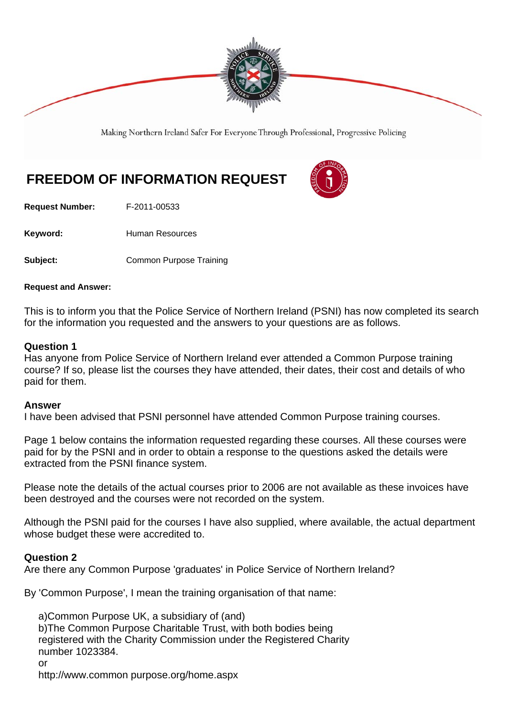

Making Northern Ireland Safer For Everyone Through Professional, Progressive Policing

# **FREEDOM OF INFORMATION REQUEST**

**Request Number:** F-2011-00533

Keyword: **Human Resources** 

**Subject: Common Purpose Training** 

#### **Request and Answer:**

This is to inform you that the Police Service of Northern Ireland (PSNI) has now completed its search for the information you requested and the answers to your questions are as follows.

## **Question 1**

Has anyone from Police Service of Northern Ireland ever attended a Common Purpose training course? If so, please list the courses they have attended, their dates, their cost and details of who paid for them.

#### **Answer**

I have been advised that PSNI personnel have attended Common Purpose training courses.

Page 1 below contains the information requested regarding these courses. All these courses were paid for by the PSNI and in order to obtain a response to the questions asked the details were extracted from the PSNI finance system.

Please note the details of the actual courses prior to 2006 are not available as these invoices have been destroyed and the courses were not recorded on the system.

Although the PSNI paid for the courses I have also supplied, where available, the actual department whose budget these were accredited to.

## **Question 2**

Are there any Common Purpose 'graduates' in Police Service of Northern Ireland?

By 'Common Purpose', I mean the training organisation of that name:

 a)Common Purpose UK, a subsidiary of (and) b)The Common Purpose Charitable Trust, with both bodies being registered with the Charity Commission under the Registered Charity number 1023384. or

http://www.common purpose.org/home.aspx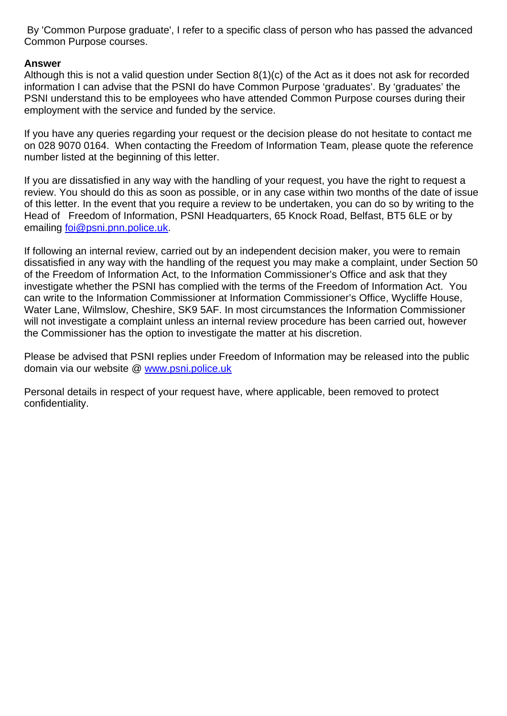By 'Common Purpose graduate', I refer to a specific class of person who has passed the advanced Common Purpose courses.

# **Answer**

Although this is not a valid question under Section 8(1)(c) of the Act as it does not ask for recorded information I can advise that the PSNI do have Common Purpose 'graduates'. By 'graduates' the PSNI understand this to be employees who have attended Common Purpose courses during their employment with the service and funded by the service.

If you have any queries regarding your request or the decision please do not hesitate to contact me on 028 9070 0164. When contacting the Freedom of Information Team, please quote the reference number listed at the beginning of this letter.

If you are dissatisfied in any way with the handling of your request, you have the right to request a review. You should do this as soon as possible, or in any case within two months of the date of issue of this letter. In the event that you require a review to be undertaken, you can do so by writing to the Head of Freedom of Information, PSNI Headquarters, 65 Knock Road, Belfast, BT5 6LE or by emailing foi@psni.pnn.police.uk.

If following an internal review, carried out by an independent decision maker, you were to remain dissatisfied in any way with the handling of the request you may make a complaint, under Section 50 of the Freedom of Information Act, to the Information Commissioner's Office and ask that they investigate whether the PSNI has complied with the terms of the Freedom of Information Act. You can write to the Information Commissioner at Information Commissioner's Office, Wycliffe House, Water Lane, Wilmslow, Cheshire, SK9 5AF. In most circumstances the Information Commissioner will not investigate a complaint unless an internal review procedure has been carried out, however the Commissioner has the option to investigate the matter at his discretion.

Please be advised that PSNI replies under Freedom of Information may be released into the public domain via our website @ www.psni.police.uk

Personal details in respect of your request have, where applicable, been removed to protect confidentiality.